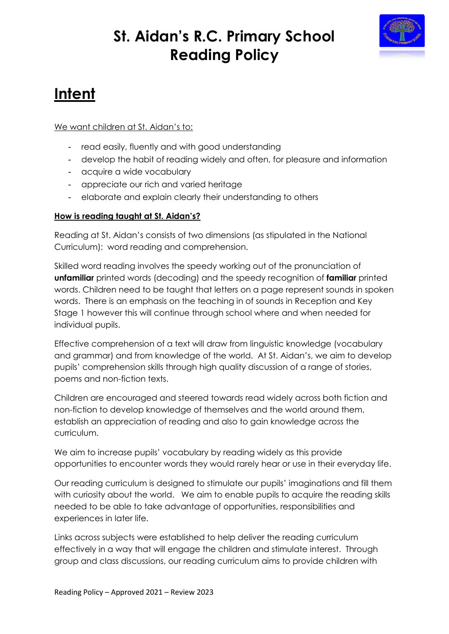

# **Intent**

We want children at St. Aidan's to:

- read easily, fluently and with good understanding
- develop the habit of reading widely and often, for pleasure and information
- acquire a wide vocabulary
- appreciate our rich and varied heritage
- elaborate and explain clearly their understanding to others

### **How is reading taught at St. Aidan's?**

Reading at St. Aidan's consists of two dimensions (as stipulated in the National Curriculum): word reading and comprehension.

Skilled word reading involves the speedy working out of the pronunciation of **unfamiliar** printed words (decoding) and the speedy recognition of **familiar** printed words. Children need to be taught that letters on a page represent sounds in spoken words. There is an emphasis on the teaching in of sounds in Reception and Key Stage 1 however this will continue through school where and when needed for individual pupils.

Effective comprehension of a text will draw from linguistic knowledge (vocabulary and grammar) and from knowledge of the world. At St. Aidan's, we aim to develop pupils' comprehension skills through high quality discussion of a range of stories, poems and non-fiction texts.

Children are encouraged and steered towards read widely across both fiction and non-fiction to develop knowledge of themselves and the world around them, establish an appreciation of reading and also to gain knowledge across the curriculum.

We aim to increase pupils' vocabulary by reading widely as this provide opportunities to encounter words they would rarely hear or use in their everyday life.

Our reading curriculum is designed to stimulate our pupils' imaginations and fill them with curiosity about the world. We aim to enable pupils to acquire the reading skills needed to be able to take advantage of opportunities, responsibilities and experiences in later life.

Links across subjects were established to help deliver the reading curriculum effectively in a way that will engage the children and stimulate interest. Through group and class discussions, our reading curriculum aims to provide children with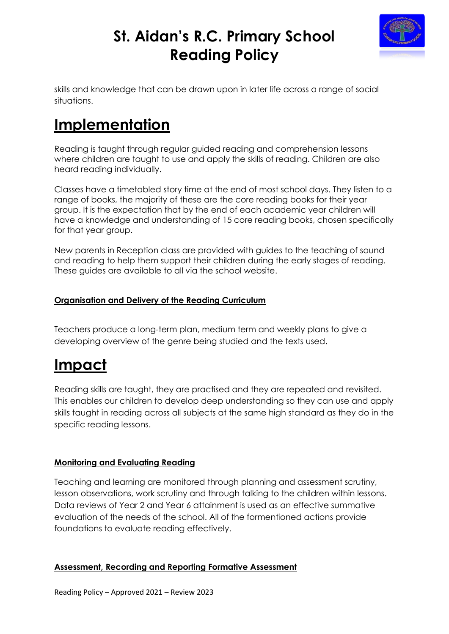

skills and knowledge that can be drawn upon in later life across a range of social situations.

## **Implementation**

Reading is taught through regular guided reading and comprehension lessons where children are taught to use and apply the skills of reading. Children are also heard reading individually.

Classes have a timetabled story time at the end of most school days. They listen to a range of books, the majority of these are the core reading books for their year group. It is the expectation that by the end of each academic year children will have a knowledge and understanding of 15 core reading books, chosen specifically for that year group.

New parents in Reception class are provided with guides to the teaching of sound and reading to help them support their children during the early stages of reading. These guides are available to all via the school website.

### **Organisation and Delivery of the Reading Curriculum**

Teachers produce a long-term plan, medium term and weekly plans to give a developing overview of the genre being studied and the texts used.

## **Impact**

Reading skills are taught, they are practised and they are repeated and revisited. This enables our children to develop deep understanding so they can use and apply skills taught in reading across all subjects at the same high standard as they do in the specific reading lessons.

### **Monitoring and Evaluating Reading**

Teaching and learning are monitored through planning and assessment scrutiny, lesson observations, work scrutiny and through talking to the children within lessons. Data reviews of Year 2 and Year 6 attainment is used as an effective summative evaluation of the needs of the school. All of the formentioned actions provide foundations to evaluate reading effectively.

## **Assessment, Recording and Reporting Formative Assessment**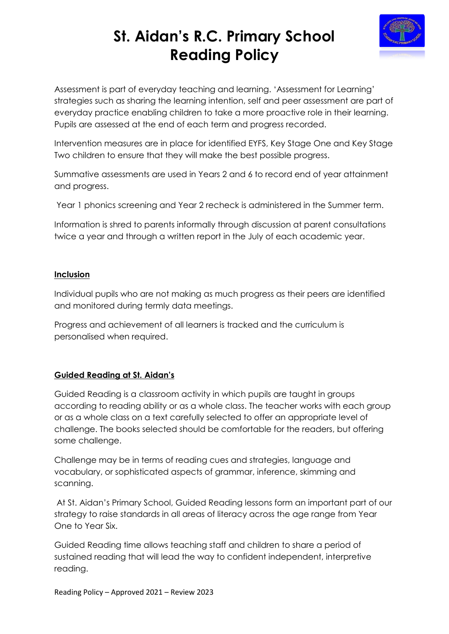

Assessment is part of everyday teaching and learning. 'Assessment for Learning' strategies such as sharing the learning intention, self and peer assessment are part of everyday practice enabling children to take a more proactive role in their learning. Pupils are assessed at the end of each term and progress recorded.

Intervention measures are in place for identified EYFS, Key Stage One and Key Stage Two children to ensure that they will make the best possible progress.

Summative assessments are used in Years 2 and 6 to record end of year attainment and progress.

Year 1 phonics screening and Year 2 recheck is administered in the Summer term.

Information is shred to parents informally through discussion at parent consultations twice a year and through a written report in the July of each academic year.

#### **Inclusion**

Individual pupils who are not making as much progress as their peers are identified and monitored during termly data meetings.

Progress and achievement of all learners is tracked and the curriculum is personalised when required.

### **Guided Reading at St. Aidan's**

Guided Reading is a classroom activity in which pupils are taught in groups according to reading ability or as a whole class. The teacher works with each group or as a whole class on a text carefully selected to offer an appropriate level of challenge. The books selected should be comfortable for the readers, but offering some challenge.

Challenge may be in terms of reading cues and strategies, language and vocabulary, or sophisticated aspects of grammar, inference, skimming and scanning.

At St. Aidan's Primary School, Guided Reading lessons form an important part of our strategy to raise standards in all areas of literacy across the age range from Year One to Year Six.

Guided Reading time allows teaching staff and children to share a period of sustained reading that will lead the way to confident independent, interpretive reading.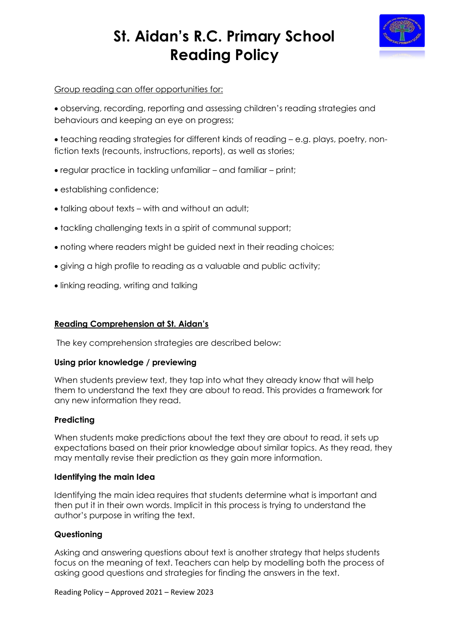

### Group reading can offer opportunities for:

 observing, recording, reporting and assessing children's reading strategies and behaviours and keeping an eye on progress;

 teaching reading strategies for different kinds of reading – e.g. plays, poetry, nonfiction texts (recounts, instructions, reports), as well as stories;

- regular practice in tackling unfamiliar and familiar print;
- establishing confidence;
- talking about texts with and without an adult;
- tackling challenging texts in a spirit of communal support;
- noting where readers might be guided next in their reading choices;
- giving a high profile to reading as a valuable and public activity;
- linking reading, writing and talking

### **Reading Comprehension at St. Aidan's**

The key comprehension strategies are described below:

#### **Using prior knowledge / previewing**

When students preview text, they tap into what they already know that will help them to understand the text they are about to read. This provides a framework for any new information they read.

#### **Predicting**

When students make predictions about the text they are about to read, it sets up expectations based on their prior knowledge about similar topics. As they read, they may mentally revise their prediction as they gain more information.

#### **Identifying the main Idea**

Identifying the main idea requires that students determine what is important and then put it in their own words. Implicit in this process is trying to understand the author's purpose in writing the text.

### **Questioning**

Asking and answering questions about text is another strategy that helps students focus on the meaning of text. Teachers can help by modelling both the process of asking good questions and strategies for finding the answers in the text.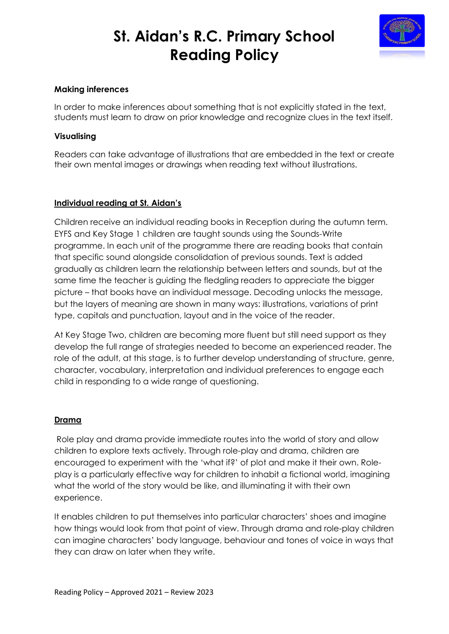

#### **Making inferences**

In order to make inferences about something that is not explicitly stated in the text, students must learn to draw on prior knowledge and recognize clues in the text itself.

#### **Visualising**

Readers can take advantage of illustrations that are embedded in the text or create their own mental images or drawings when reading text without illustrations.

#### **Individual reading at St. Aidan's**

Children receive an individual reading books in Reception during the autumn term. EYFS and Key Stage 1 children are taught sounds using the Sounds-Write programme. In each unit of the programme there are reading books that contain that specific sound alongside consolidation of previous sounds. Text is added gradually as children learn the relationship between letters and sounds, but at the same time the teacher is guiding the fledgling readers to appreciate the bigger picture – that books have an individual message. Decoding unlocks the message, but the layers of meaning are shown in many ways: illustrations, variations of print type, capitals and punctuation, layout and in the voice of the reader.

At Key Stage Two, children are becoming more fluent but still need support as they develop the full range of strategies needed to become an experienced reader. The role of the adult, at this stage, is to further develop understanding of structure, genre, character, vocabulary, interpretation and individual preferences to engage each child in responding to a wide range of questioning.

#### **Drama**

Role play and drama provide immediate routes into the world of story and allow children to explore texts actively. Through role-play and drama, children are encouraged to experiment with the 'what if?' of plot and make it their own. Roleplay is a particularly effective way for children to inhabit a fictional world, imagining what the world of the story would be like, and illuminating it with their own experience.

It enables children to put themselves into particular characters' shoes and imagine how things would look from that point of view. Through drama and role-play children can imagine characters' body language, behaviour and tones of voice in ways that they can draw on later when they write.